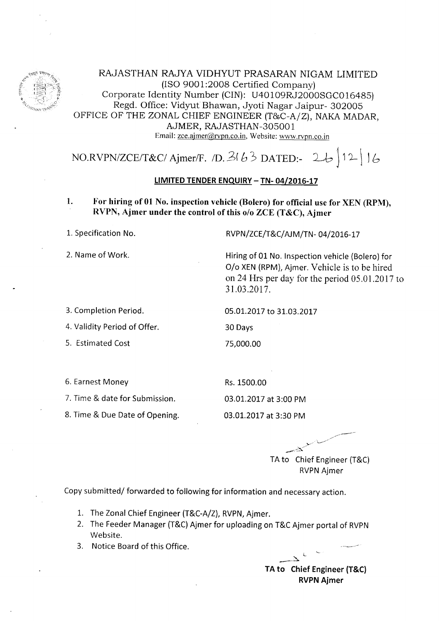

RAJASTHAN RAJYA VIDHYUT PRASARAN NIGAM LIMITED (ISO 9001:2008 Certified Company) Corporate Identity Number (CIN): U40109RJ2000SGC016485) Regd. Office: Vidyut Bhawan, Jyoti Nagar Jaipur- 302005 OFFICE OF THE ZONAL CHIEF ENGINEER (T&C-A/Z), NAKA MADAR, AJMER, RAJASTHAN-3OsOO 1 Email: zce.ajmer@rvpn.co.in, Website: www.rvpn.co.in

NO.RVPN/ZCE/T&C/ Ajmer/F. /D. 3(63 DATED:- 26 ) 12 | 16

## LIMITED TENDER ENQUIRY - TN- 04/2016-17

1. For hiring of 01 No. inspection vehicle (Bolero) for official use for XEN (RPM), RVPN, Ajmer under the control of this o/o ZCE (T&C), Ajmer

L. Specification No.

2. Name of Work.

3. Completion Period.

4. Validity Period of Offer.

5. Estimated Cost

6. Earnest Money

7. Time & date for Submission.

8. Time & Due Date of Opening.

RVPN/ZCE/T&C/AJM/TN-04/2016-17

Hiring of 01 No. Inspection vehicle (Bolero) for O/o XEN (RPM), Ajmer, Vehicle is to be hired on 24 Hrs per day for the period 05.01 .2017 to 3l.03.20t7 .

05.01.2017 to 31.03.2017

30 Days

7s,000.00

Rs. 1500.00 03.01..2017 at 3:00 PM

03.01.2017 at 3:30 PM

 $\blacktriangleright$ TA to Chief Engineer {T&C) RVPN Ajmer

Copy submitted/ forwarded to following for information and necessary action.

- 1. The Zonal Chief Engineer (T&C-A/Z), RVPN, Ajmer.
- 2. The Feeder Manager (T&C) Ajmer for uploading on T&C Ajmer portal of RVPN Website.
- 3. Notice Board of this Office.

 $\overline{a}$  $\rightarrow$ TA to Chief Engineer (T&C) RVPN Ajmer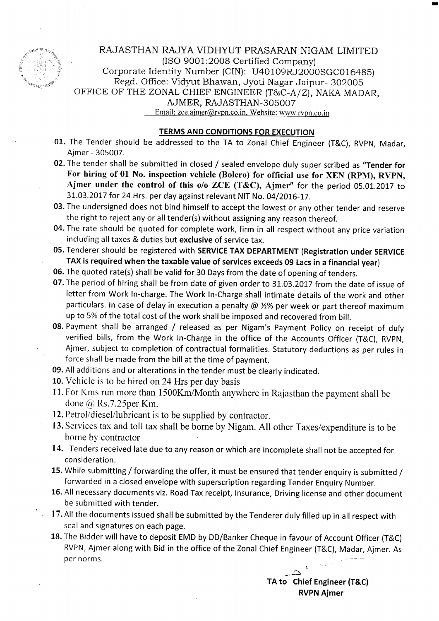

RAJASTHAN RAJYA VIDHYUT PRASARAN NIGAM LIMITED  $(ISO 9001:2008$  Certified Company) Fig. 1.1 (Regard Corporate Identity Number (CIN): U40109RJ2000SGC016485)<br>Regd. Office: Vidyut Bhawan, Jyoti Nagar Jaipur- 302005 OFFICE OF THE ZONAL CHIEF ENGINEER (T&C-A/Z), NAKA MADAR, AJMER, RAJASTHAN-3OsOO7 Email: zce.ajmer@rvpn.co.in, Website: www.rvpn.co.in

## TERMS AND CONDITIONS FOR EXECUTION

- 01. The Tender should be addressed to the TA to Zonal Chief Engineer (T&C), RVPN, Madar, Ajmer - 305007.
- 02. The tender shall be submitted in closed / sealed envelope duly super scribed as "Tender for For hiring of 01 No. inspection vehicle (Bolero) for official use for XEN (RPM), RVPN, Ajmer under the control of this o/o ZCE (T&C), Ajmer" for the period 05.01.2017 to 31.03.2017 for 24 Hrs. per day against relevant NIT No. 04/2016-17.
- 03. The undersigned does not bind himself to accept the lowest or any other tender and reserve the right to reject any or all tender(s) without assigning any reason thereof.
- 04. The rate should be quoted for complete work, firm in all respect without any price variation including all taxes & duties but exclusive of service tax.
- 05. Tenderer should be registered with SERVICE TAX DEPARTMENT (Registration under SERVICE TAX is required when the taxable value of services exceeds 09 Lacs in a financial year)
- 06. The quoted rate(s) shall be valid for 30 Days from the date of opening of tenders.
- 07. The period of hiring shall be from date of given order to 31.03.2017 from the date of issue of letter from Work In-charge. The Work In-Charge shall intimate details of the work and other particulars. In case of delay in execution a penalty @  $1/2\%$  per week or part thereof maximum up to 5% of the total cost of the work shall be imposed and recovered from bill.
- 08. Payment shall be arranged / released as per Nigam's Payment Policy on receipt of duly verified bills, from the Work In-Charge in the office of the Accounts Officer {T&C), RVPN, Ajmer, subject to completion of contractual formalities. Statutory deductions as per rules in force shall be made from the bill at the time of payment.
- 09. All additions and or alterations in the tender must be clearly indicated.
- 10. Vehicle is to be hired on 24 Hrs per day basis
- 11. For Kms run more than 1500Km/Month anywhere in Rajasthan the payment shall be done (@ Rs.7.25per Km.
- 12. Petrol/diesel/lubricant is to be supplied by contractor.
- 13. Services tax and toll tax shall be borne by Nigam. All other Taxes/expenditure is to be borne by contractor
- 14. Tenders received late due to any reason or which are incomplete shall not be accepted for consideration.
- 15. While submitting / forwarding the offer, it must be ensured that tender enquiry is submitted / forwarded in a closed envelope with superscription regarding Tender Enquiry Number.
- 16. All necessary documents viz. Road Tax receipt, lnsurance, Driving license and other document be submitted with tender.
- 17. All the documents issued shall be submitted by the Tenderer duly filled up in all respect with seal and signatures on each page.
- 18. The Bidder will have to deposit EMD by DD/Banker Cheque in favour of Account Officer (T&C) RVPN, Ajmer along with Bid in the office of the Zonal Chief Engineer (T&C), Madar, Ajmer. As  $\mathsf{P}$ er norms. The set of the set of the set of the set of the set of the set of the set of the set of the set of the set of the set of the set of the set of the set of the set of the set of the set of the set of the s

TA to Chief Engineer (T&C) RVPN Ajmer

 $\sum$